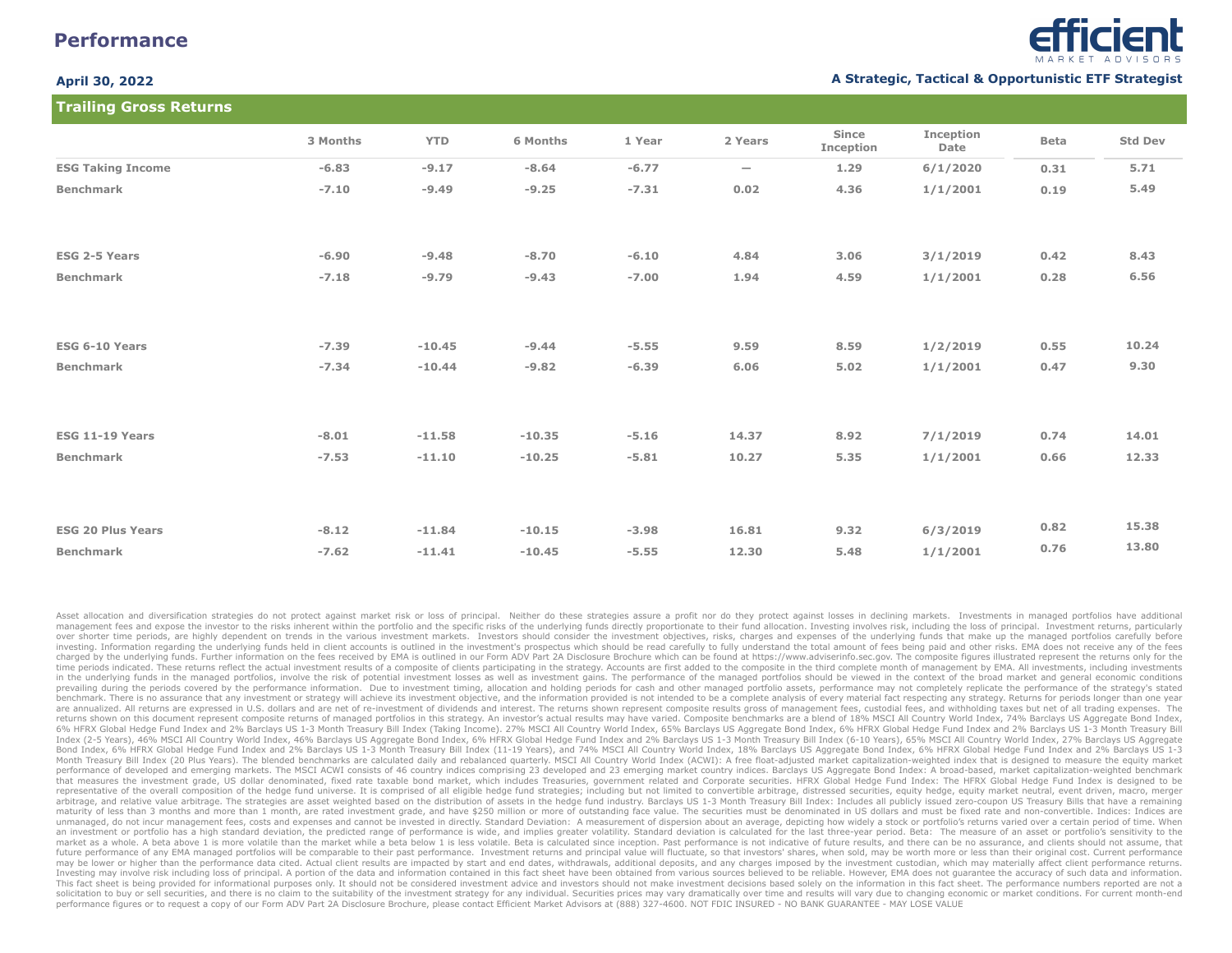# **Performance**

**Trailing Gross Returns**



### **April 30, 2022 A Strategic, Tactical & Opportunistic ETF Strategist**

| <b>Trailing Gross Returns</b> |          |            |          |         |                          |                    |                   |      |                |  |
|-------------------------------|----------|------------|----------|---------|--------------------------|--------------------|-------------------|------|----------------|--|
|                               | 3 Months | <b>YTD</b> | 6 Months | 1 Year  | 2 Years                  | Since<br>Inception | Inception<br>Date | Beta | <b>Std Dev</b> |  |
| <b>ESG Taking Income</b>      | $-6.83$  | $-9.17$    | $-8.64$  | $-6.77$ | $\overline{\phantom{0}}$ | 1.29               | 6/1/2020          | 0.31 | 5.71           |  |
| <b>Benchmark</b>              | $-7.10$  | $-9.49$    | $-9.25$  | $-7.31$ | 0.02                     | 4.36               | 1/1/2001          | 0.19 | 5.49           |  |
| <b>ESG 2-5 Years</b>          | $-6.90$  | $-9.48$    | $-8,70$  | $-6.10$ | 4.84                     | 3.06               | 3/1/2019          | 0.42 | 8.43           |  |
| <b>Benchmark</b>              | $-7.18$  | $-9.79$    | $-9.43$  | $-7.00$ | 1.94                     | 4.59               | 1/1/2001          | 0.28 | 6.56           |  |
| <b>ESG 6-10 Years</b>         | $-7.39$  | $-10.45$   | $-9.44$  | $-5.55$ | 9.59                     | 8.59               | 1/2/2019          | 0.55 | 10.24          |  |
| <b>Benchmark</b>              | $-7.34$  | $-10.44$   | $-9.82$  | $-6.39$ | 6.06                     | 5.02               | 1/1/2001          | 0.47 | 9.30           |  |
|                               |          |            |          |         |                          |                    |                   |      |                |  |
| ESG 11-19 Years               | $-8.01$  | $-11.58$   | $-10.35$ | $-5.16$ | 14.37                    | 8.92               | 7/1/2019          | 0.74 | 14.01          |  |
| <b>Benchmark</b>              | $-7.53$  | $-11.10$   | $-10.25$ | $-5.81$ | 10.27                    | 5.35               | 1/1/2001          | 0.66 | 12.33          |  |
|                               |          |            |          |         |                          |                    |                   |      |                |  |
| <b>ESG 20 Plus Years</b>      | $-8.12$  | $-11.84$   | $-10.15$ | $-3.98$ | 16.81                    | 9.32               | 6/3/2019          | 0.82 | 15.38          |  |
| <b>Benchmark</b>              | $-7.62$  | $-11.41$   | $-10.45$ | $-5.55$ | 12.30                    | 5.48               | 1/1/2001          | 0.76 | 13.80          |  |

Asset allocation and diversification strategies do not protect against market risk or loss of principal. Neither do these strategies assure a profit nor do they protect against losses in declining markets. Investments in m management fees and expose the investor to the risks inherent within the portfolio and the specific risks of the underlying funds directly proportionate to their fund allocation. Investing involves risk, including the loss over shorter time periods, are highly dependent on trends in the various investment markets. Investors should consider the investment objectives, risks, charges and expenses of the underlying funds that make up the managed investing. Information regarding the underlying funds held in client accounts is outlined in the investment's prospectus which should be read carefully to fully understand the total amount of fees being paid and other risk charged by the underlying funds. Further information on the fees received by EMA is outlined in our Form ADV Part 2A Disclosure Brochure which can be found at https://www.adviserinfo.sec.gov. The composite figures illustra time periods indicated. These returns reflect the actual investment results of a composite of clients participating in the strategy. Accounts are first added to the composite in the third complete month of management by EM in the underlying funds in the managed portfolios, involve the risk of potential investment losses as well as investment gains. The performance of the managed portfolios should be viewed in the context of the broad market prevailing during the periods covered by the performance information. Due to investment timing, allocation and holding periods for cash and other managed portfolio assets, performance may not completely replicate the perfo benchmark. There is no assurance that any investment or strategy will achieve its investment objective, and the information provided is not intended to be a complete analysis of every material fact respecting any strategy. are annualized. All returns are expressed in U.S. dollars and are net of re-investment of dividends and interest. The returns shown represent composite results gross of management fees, custodial fees, and withholding taxe returns shown on this document represent composite returns of managed portfolios in this strategy. An investor's actual results may have varied. Composite benchmarks are a blend of 18% MSCI All Country World Index, 74% Bar 6% HFRX Global Hedge Fund Index and 2% Barclays US 1-3 Month Treasury Bill Index (Taking Income). 27% MSCI All Country World Index, 65% Barclays US Aggregate Bond Index, 6% HFRX Global Hedge Fund Index and 2% Barclays US 1 Index (2-5 Years), 46% MSCI All Country World Index, 46% Barclays US Aggregate Bond Index, 6% HFRX Global Hedge Fund Index and 2% Barclays US 1-3 Month Treasury Bill Index (6-10 Years), 65% MSCI All Country World Index, 27 Bond Index, 6% HFRX Global Hedge Fund Index and 2% Barclays US 1-3 Month Treasury Bill Index (11-19 Years), and 74% MSCI All Country World Index, 18% Barclays US Aggregate Bond Index, 6% HFRX Global Hedge Fund Index and 2% Month Treasury Bill Index (20 Plus Years). The blended benchmarks are calculated daily and rebalanced quarterly. MSCI All Country World Index (ACWI): A free float-adjusted market capitalization-weighted index that is desig performance of developed and emerging markets. The MSCI ACWI consists of 46 country indices comprising 23 developed and 23 emerging market country indices. Barclays US Aggregate Bond Index: A broad-based, market capitaliza that measures the investment grade, US dollar denominated, fixed rate taxable bond market, which includes Treasuries, government related and Corporate securities. HFRX Global Hedge Fund Index: The HFRX Global Hedge Fund In representative of the overall composition of the hedge fund universe. It is comprised of all eligible hedge fund strategies; including but not limited to convertible arbitrage, distressed securities, equity hedge, equity m arbitrage, and relative value arbitrage. The strategies are asset weighted based on the distribution of assets in the hedge fund industry. Barclays US 1-3 Month Treasury Bill Index: Includes all publicly issued zero-coupon maturity of less than 3 months and more than 1 month, are rated investment grade, and have \$250 million or more of outstanding face value. The securities must be denominated in US dollars and must be fixed rate and non-con unmanaged, do not incur management fees, costs and expenses and cannot be invested in directly. Standard Deviation: A measurement of dispersion about an average, depicting how widely a stock or portfolio's returns varied o an investment or portfolio has a high standard deviation, the predicted range of performance is wide, and implies greater volatility. Standard deviation is calculated for the last three-year period. Beta: The measure of an market as a whole. A beta above 1 is more volatile than the market while a beta below 1 is less volatile. Beta is calculated since inception. Past performance is not indicative of future results, and there can be no assura future performance of any EMA managed portfolios will be comparable to their past performance. Investment returns and principal value will fluctuate, so that investors' shares, when sold, may be worth more or less than the may be lower or higher than the performance data cited. Actual client results are impacted by start and end dates, withdrawals, additional deposits, and any charges imposed by the investment custodian, which may materially Investing may involve risk including loss of principal. A portion of the data and information contained in this fact sheet have been obtained from various sources believed to be reliable. However, EMA does not guarantee th This fact sheet is being provided for informational purposes only. It should not be considered investment advice and investors should not make investment decisions based solely on the information in this fact sheet. The pe solicitation to buy or sell securities, and there is no claim to the suitability of the investment strategy for any individual. Securities prices may vary dramatically over time and results will vary due to changing econom performance figures or to request a copy of our Form ADV Part 2A Disclosure Brochure, please contact Efficient Market Advisors at (888) 327-4600. NOT FDIC INSURED - NO BANK GUARANTEE - MAY LOSE VALUE